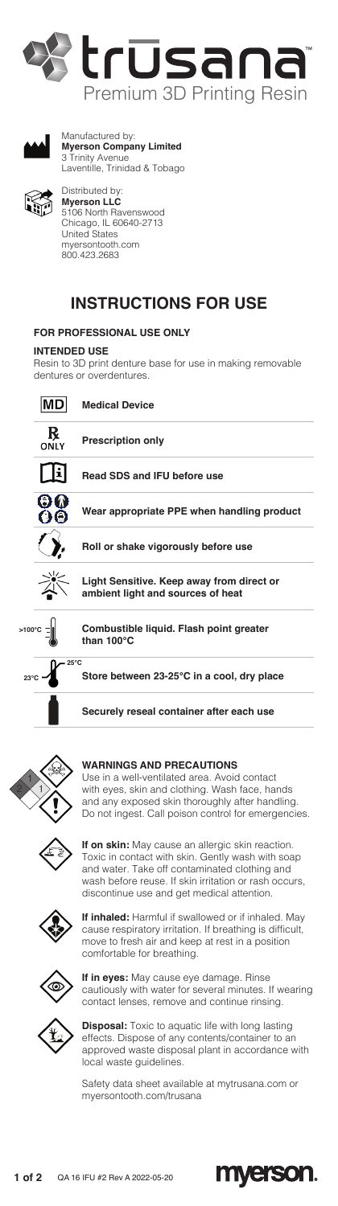



Manufactured by: **Myerson Company Limited** 3 Trinity Avenue Laventille, Trinidad & Tobago



Distributed by: **Myerson LLC** 5106 North Ravenswood Chicago, IL 60640-2713 United States myersontooth.com 800.423.2683

# **INSTRUCTIONS FOR USE**

# **FOR PROFESSIONAL USE ONLY**

### **INTENDED USE**

Resin to 3D print denture base for use in making removable dentures or overdentures.





#### **WARNINGS AND PRECAUTIONS**

Use in a well-ventilated area. Avoid contact with eyes, skin and clothing. Wash face, hands and any exposed skin thoroughly after handling. Do not ingest. Call poison control for emergencies.



**If on skin:** May cause an allergic skin reaction. Toxic in contact with skin. Gently wash with soap and water. Take off contaminated clothing and wash before reuse. If skin irritation or rash occurs, discontinue use and get medical attention.



**If inhaled:** Harmful if swallowed or if inhaled. May cause respiratory irritation. If breathing is difficult, move to fresh air and keep at rest in a position comfortable for breathing.



**If in eyes:** May cause eye damage. Rinse cautiously with water for several minutes. If wearing contact lenses, remove and continue rinsing.



**Disposal:** Toxic to aquatic life with long lasting effects. Dispose of any contents/container to an approved waste disposal plant in accordance with local waste guidelines.

Safety data sheet available at mytrusana.com or myersontooth.com/trusana